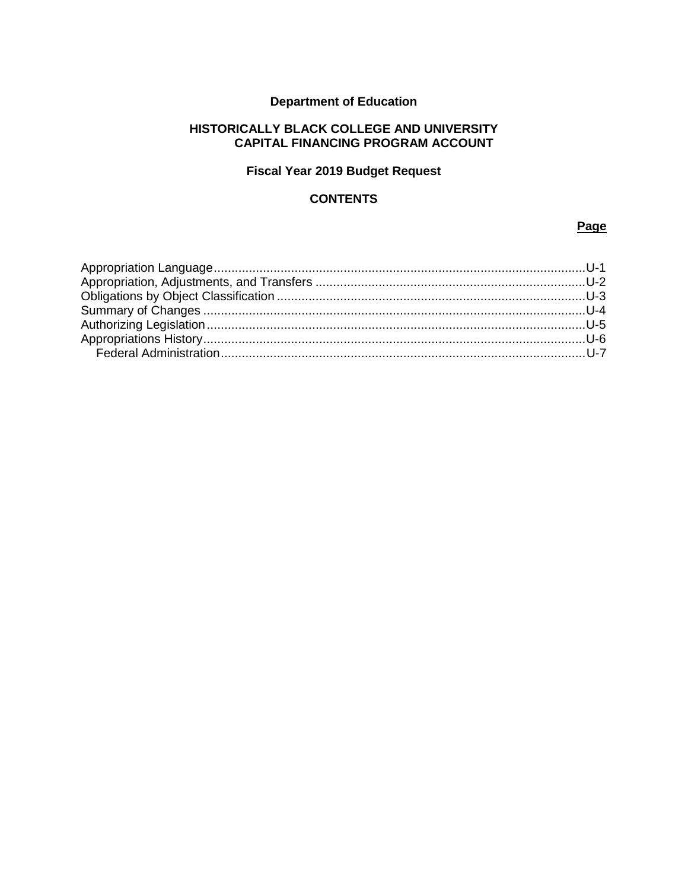## **Department of Education**

### **HISTORICALLY BLACK COLLEGE AND UNIVERSITY CAPITAL FINANCING PROGRAM ACCOUNT**

## **Fiscal Year 2019 Budget Request**

### **CONTENTS**

#### **Page**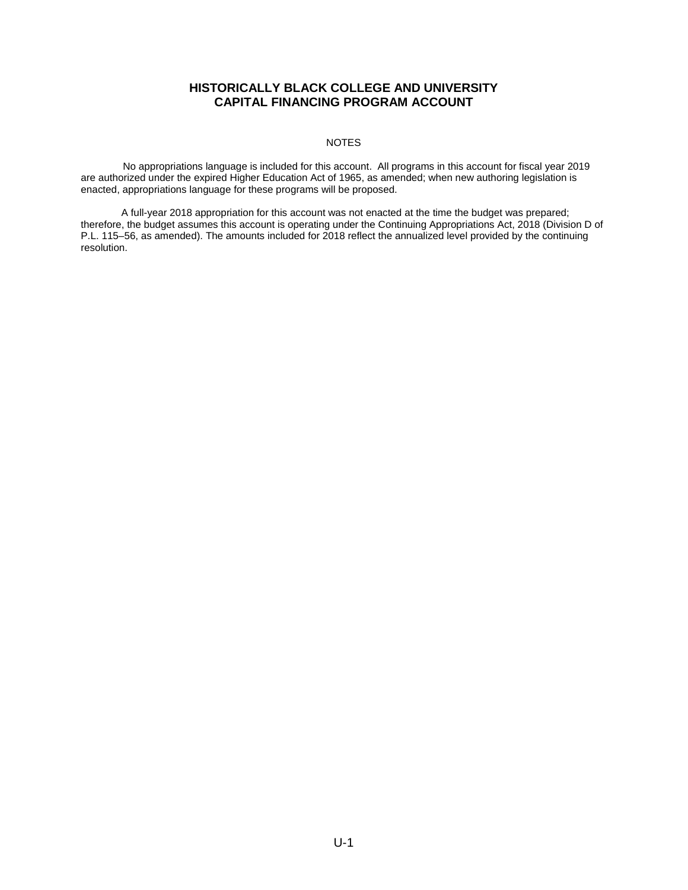#### NOTES

<span id="page-1-0"></span>No appropriations language is included for this account. All programs in this account for fiscal year 2019 are authorized under the expired Higher Education Act of 1965, as amended; when new authoring legislation is enacted, appropriations language for these programs will be proposed.

A full-year 2018 appropriation for this account was not enacted at the time the budget was prepared; therefore, the budget assumes this account is operating under the Continuing Appropriations Act, 2018 (Division D of P.L. 115–56, as amended). The amounts included for 2018 reflect the annualized level provided by the continuing resolution.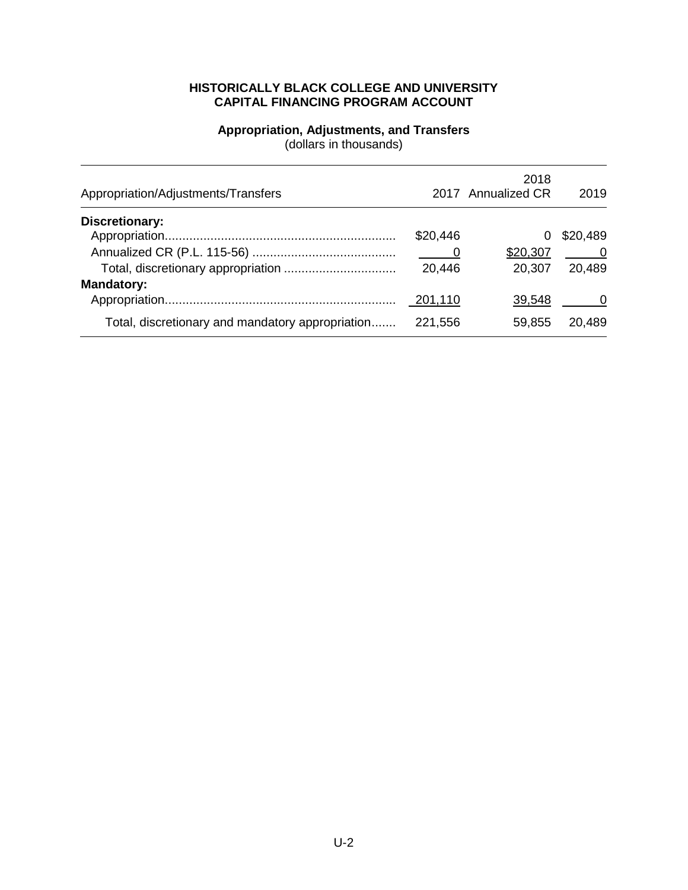#### **Appropriation, Adjustments, and Transfers** (dollars in thousands)

<span id="page-2-0"></span>

| Appropriation/Adjustments/Transfers              |          | 2018<br>2017 Annualized CR | 2019           |
|--------------------------------------------------|----------|----------------------------|----------------|
| <b>Discretionary:</b>                            |          |                            |                |
|                                                  | \$20,446 | 0                          | \$20,489       |
|                                                  | <b>O</b> | \$20,307                   | $\overline{0}$ |
|                                                  | 20,446   | 20,307                     | 20,489         |
| <b>Mandatory:</b>                                |          |                            |                |
|                                                  | 201,110  | 39,548                     |                |
| Total, discretionary and mandatory appropriation | 221,556  | 59,855                     | 20,489         |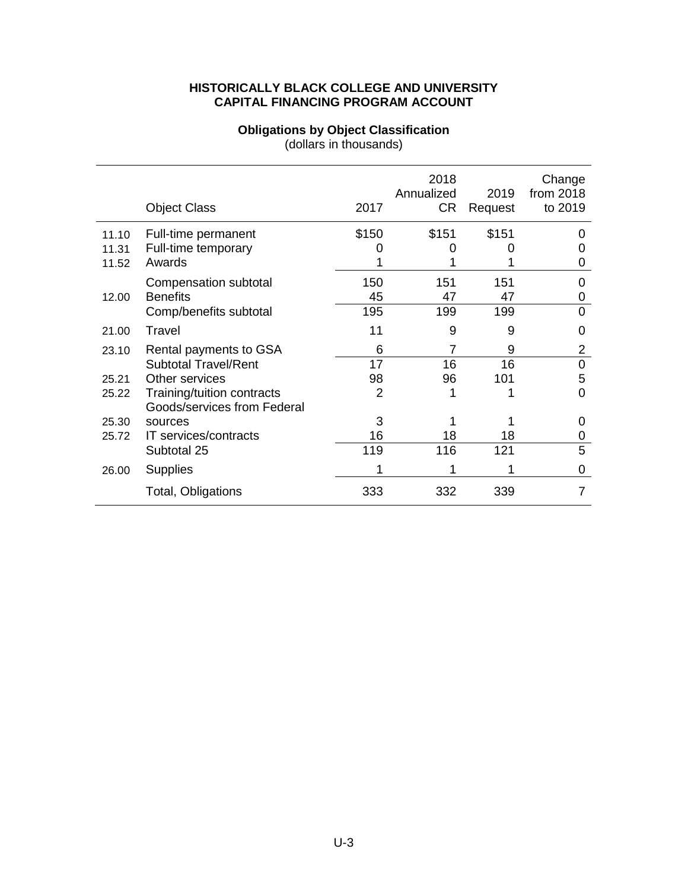#### **Obligations by Object Classification**

(dollars in thousands)

<span id="page-3-0"></span>

|       | <b>Object Class</b>         | 2017  | 2018<br>Annualized<br>CR | 2019<br>Request | Change<br>from 2018<br>to 2019 |
|-------|-----------------------------|-------|--------------------------|-----------------|--------------------------------|
| 11.10 | Full-time permanent         | \$150 | \$151                    | \$151           |                                |
| 11.31 | Full-time temporary         |       |                          |                 |                                |
| 11.52 | Awards                      |       |                          |                 | Ő                              |
|       | Compensation subtotal       | 150   | 151                      | 151             |                                |
| 12.00 | <b>Benefits</b>             | 45    | 47                       | 47              | 0                              |
|       | Comp/benefits subtotal      | 195   | 199                      | 199             | 0                              |
| 21.00 | Travel                      | 11    | 9                        | 9               | 0                              |
| 23.10 | Rental payments to GSA      | 6     | 7                        | 9               | 2                              |
|       | <b>Subtotal Travel/Rent</b> | 17    | 16                       | 16              | $\Omega$                       |
| 25.21 | Other services              | 98    | 96                       | 101             | 5                              |
| 25.22 | Training/tuition contracts  | 2     |                          |                 | ი                              |
|       | Goods/services from Federal |       |                          |                 |                                |
| 25.30 | sources                     | 3     |                          |                 | 0                              |
| 25.72 | IT services/contracts       | 16    | 18                       | 18              | 0                              |
|       | Subtotal 25                 | 119   | 116                      | 121             | 5                              |
| 26.00 | <b>Supplies</b>             |       |                          | 1               | 0                              |
|       | Total, Obligations          | 333   | 332                      | 339             |                                |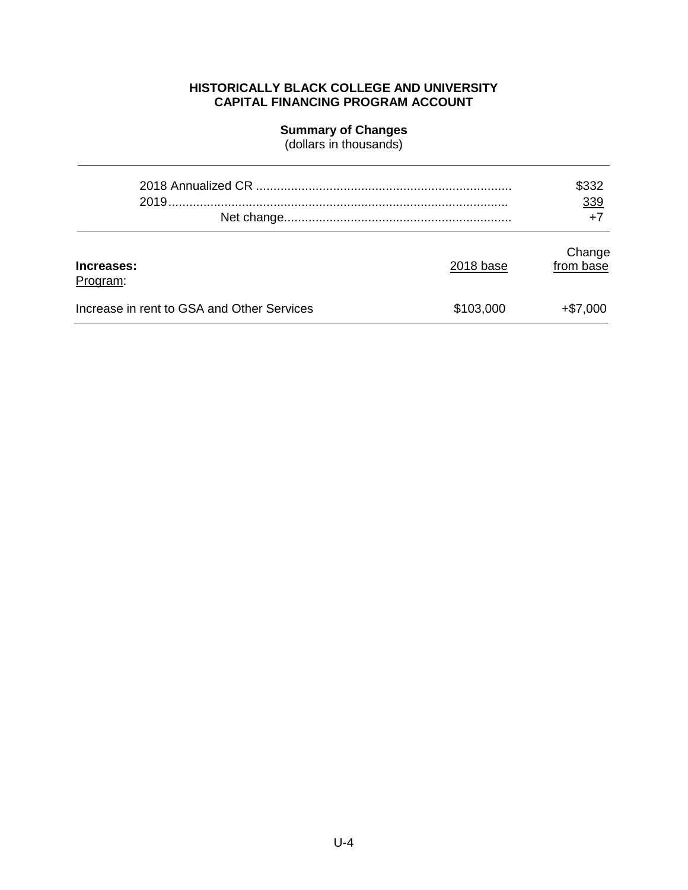#### **Summary of Changes**

(dollars in thousands)

<span id="page-4-0"></span>

|                                            |           | \$332<br>339        |
|--------------------------------------------|-----------|---------------------|
|                                            |           | $+7$                |
| Increases:<br>Program:                     | 2018 base | Change<br>from base |
| Increase in rent to GSA and Other Services | \$103,000 | $+ $7,000$          |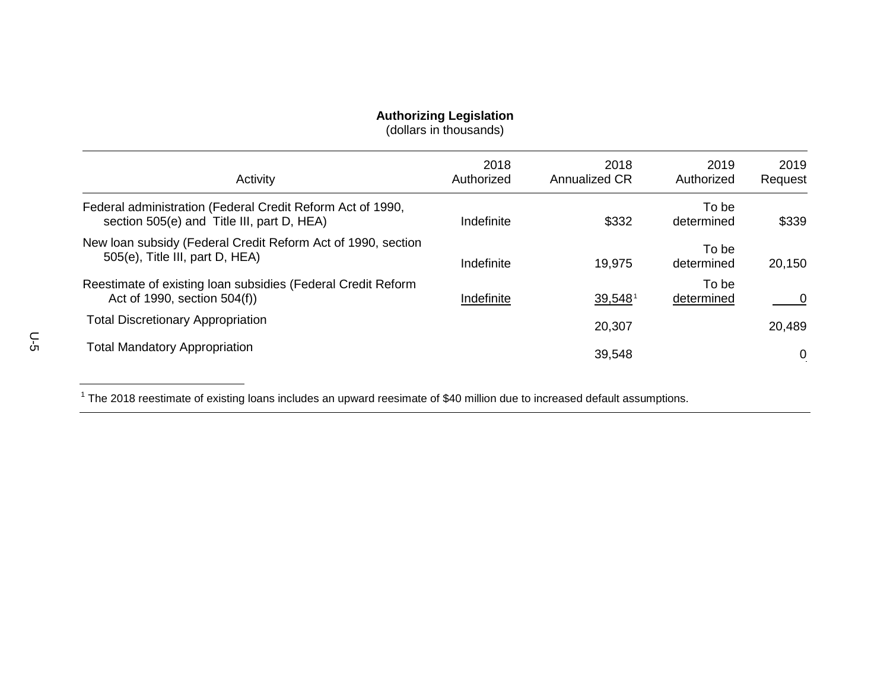### <span id="page-5-1"></span>**Authorizing Legislation**

(dollars in thousands)

| Activity                                                                                                 | 2018<br>Authorized | 2018<br><b>Annualized CR</b> | 2019<br>Authorized  | 2019<br>Request |
|----------------------------------------------------------------------------------------------------------|--------------------|------------------------------|---------------------|-----------------|
| Federal administration (Federal Credit Reform Act of 1990,<br>section 505(e) and Title III, part D, HEA) | Indefinite         | \$332                        | To be<br>determined | \$339           |
| New Ioan subsidy (Federal Credit Reform Act of 1990, section<br>505(e), Title III, part D, HEA)          | Indefinite         | 19.975                       | To be<br>determined | 20,150          |
| Reestimate of existing loan subsidies (Federal Credit Reform<br>Act of 1990, section 504(f))             | Indefinite         | $39,548$ <sup>1</sup>        | To be<br>determined | 0               |
| <b>Total Discretionary Appropriation</b>                                                                 |                    | 20,307                       |                     | 20,489          |
| <b>Total Mandatory Appropriation</b>                                                                     |                    | 39,548                       |                     | 0               |

<span id="page-5-0"></span> $1$  The 2018 reestimate of existing loans includes an upward reesimate of \$40 million due to increased default assumptions.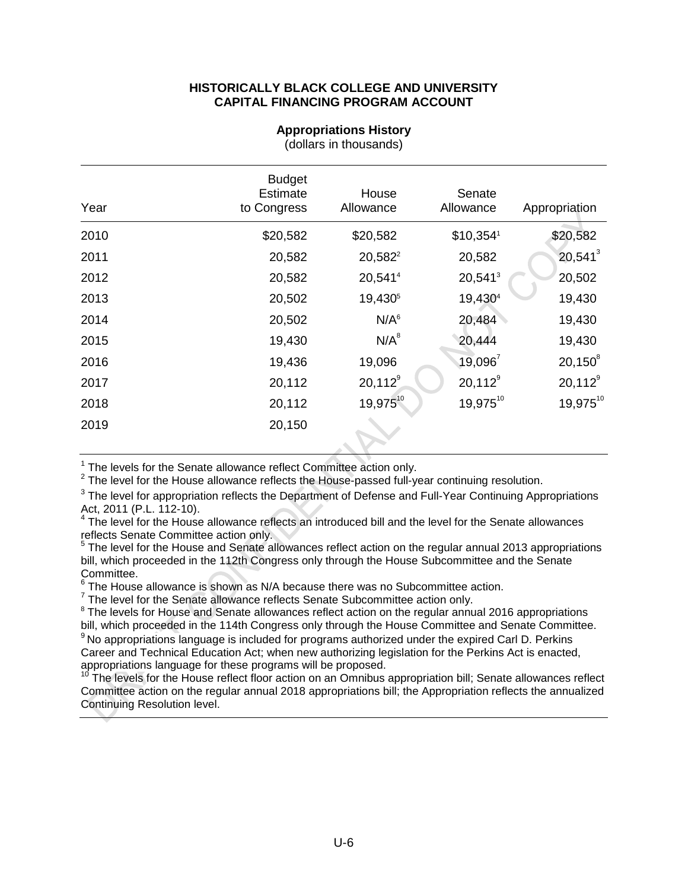<span id="page-6-0"></span>

| Year | <b>Budget</b><br><b>Estimate</b><br>to Congress | House<br>Allowance  | Senate<br>Allowance    | Appropriation |
|------|-------------------------------------------------|---------------------|------------------------|---------------|
| 2010 | \$20,582                                        | \$20,582            | $$10,354$ <sup>1</sup> | \$20,582      |
| 2011 | 20,582                                          | 20,582 <sup>2</sup> | 20,582                 | $20,541^3$    |
| 2012 | 20,582                                          | 20,5414             | 20,541 <sup>3</sup>    | 20,502        |
| 2013 | 20,502                                          | 19,430 <sup>5</sup> | 19,4304                | 19,430        |
| 2014 | 20,502                                          | N/A <sup>6</sup>    | 20,484                 | 19,430        |
| 2015 | 19,430                                          | $N/A^8$             | 20,444                 | 19,430        |
| 2016 | 19,436                                          | 19,096              | $19,096^7$             | $20,150^8$    |
| 2017 | 20,112                                          | $20,112^9$          | $20,112^9$             | $20,112^9$    |
| 2018 | 20,112                                          | 19,97510            | 19,97510               | 19,97510      |
| 2019 | 20,150                                          |                     |                        |               |

#### **Appropriations History**

(dollars in thousands)

<span id="page-6-2"></span>

<span id="page-6-1"></span><sup>1</sup> The levels for the Senate allowance reflect Committee action only.<br><sup>2</sup> The level for the House allowance reflects the House-passed full-year continuing resolution.

<span id="page-6-3"></span> $3$  The level for appropriation reflects the Department of Defense and Full-Year Continuing Appropriations Act, 2011 (P.L. 112-10).

<span id="page-6-4"></span>Act, 2011 (P.L. 112-10).<br>4 The level for the House allowance reflects an introduced bill and the level for the Senate allowances reflects Senate Committee action only.

<span id="page-6-5"></span><sup>5</sup> The level for the House and Senate allowances reflect action on the regular annual 2013 appropriations bill, which proceeded in the 112th Congress only through the House Subcommittee and the Senate Committee.

<span id="page-6-6"></span> $6$  The House allowance is shown as N/A because there was no Subcommittee action.<br>
<sup>7</sup> The level for the Senate allowance reflects Senate Subcommittee action only.

<span id="page-6-8"></span>

<span id="page-6-7"></span><sup>8</sup> The levels for House and Senate allowances reflect action on the regular annual 2016 appropriations bill, which proceeded in the 114th Congress only through the House Committee and Senate Committee. <sup>9</sup> No appropriations language is included for programs authorized under the expired Carl D. Perkins

<span id="page-6-9"></span>Career and Technical Education Act; when new authorizing legislation for the Perkins Act is enacted, appropriations language for these programs will be proposed.

<span id="page-6-10"></span><sup>10</sup> The levels for the House reflect floor action on an Omnibus appropriation bill; Senate allowances reflect Committee action on the regular annual 2018 appropriations bill; the Appropriation reflects the annualized Continuing Resolution level.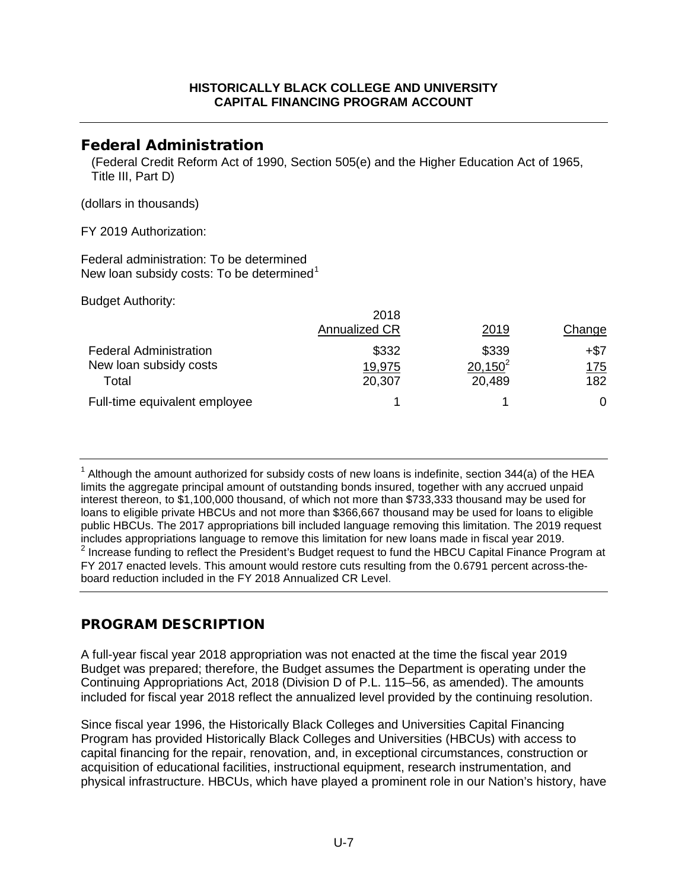## <span id="page-7-0"></span>Federal Administration

(Federal Credit Reform Act of 1990, Section 505(e) and the Higher Education Act of 1965, Title III, Part D)

(dollars in thousands)

FY 2019 Authorization:

Federal administration: To be determined New loan subsidy costs: To be determined<sup>[1](#page-7-1)</sup>

Budget Authority:

| <b>Annualized CR</b> | 2019       | Change     |
|----------------------|------------|------------|
| \$332                | \$339      | +\$7       |
| 19,975               | $20,150^2$ | <u>175</u> |
| 20,307               | 20,489     | 182        |
|                      |            | 0          |
|                      |            | 2018       |

<span id="page-7-1"></span> $1$  Although the amount authorized for subsidy costs of new loans is indefinite, section 344(a) of the HEA limits the aggregate principal amount of outstanding bonds insured, together with any accrued unpaid interest thereon, to \$1,100,000 thousand, of which not more than \$733,333 thousand may be used for loans to eligible private HBCUs and not more than \$366,667 thousand may be used for loans to eligible public HBCUs. The 2017 appropriations bill included language removing this limitation. The 2019 request includes appropriations language to remove this limitation for new loans made in fiscal year 2019.  $2$  Increase funding to reflect the President's Budget request to fund the HBCU Capital Finance Program at FY 2017 enacted levels. This amount would restore cuts resulting from the 0.6791 percent across-theboard reduction included in the FY 2018 Annualized CR Level.

# PROGRAM DESCRIPTION

A full-year fiscal year 2018 appropriation was not enacted at the time the fiscal year 2019 Budget was prepared; therefore, the Budget assumes the Department is operating under the Continuing Appropriations Act, 2018 (Division D of P.L. 115–56, as amended). The amounts included for fiscal year 2018 reflect the annualized level provided by the continuing resolution.

Since fiscal year 1996, the Historically Black Colleges and Universities Capital Financing Program has provided Historically Black Colleges and Universities (HBCUs) with access to capital financing for the repair, renovation, and, in exceptional circumstances, construction or acquisition of educational facilities, instructional equipment, research instrumentation, and physical infrastructure. HBCUs, which have played a prominent role in our Nation's history, have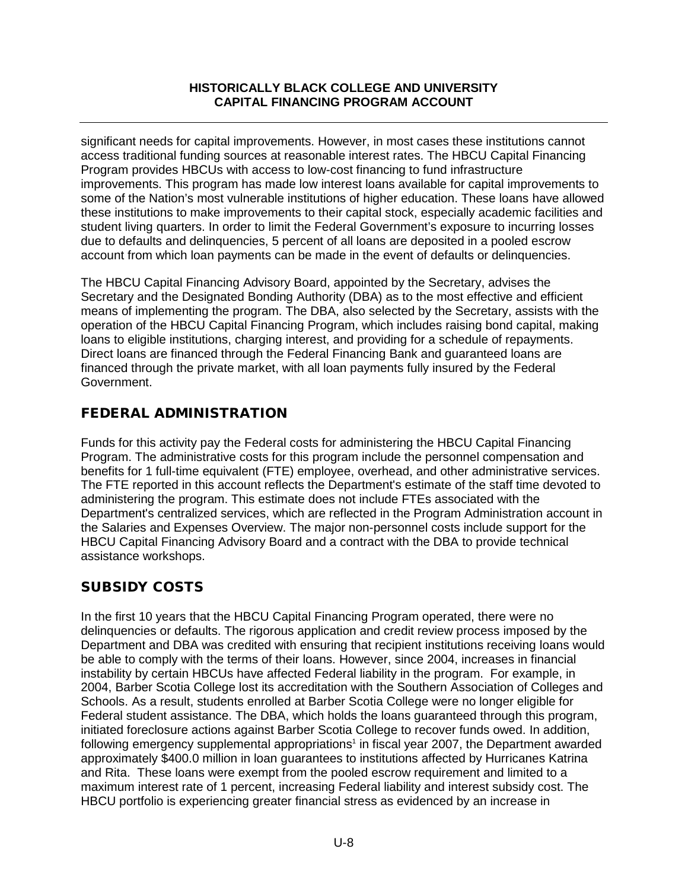significant needs for capital improvements. However, in most cases these institutions cannot access traditional funding sources at reasonable interest rates. The HBCU Capital Financing Program provides HBCUs with access to low-cost financing to fund infrastructure improvements. This program has made low interest loans available for capital improvements to some of the Nation's most vulnerable institutions of higher education. These loans have allowed these institutions to make improvements to their capital stock, especially academic facilities and student living quarters. In order to limit the Federal Government's exposure to incurring losses due to defaults and delinquencies, 5 percent of all loans are deposited in a pooled escrow account from which loan payments can be made in the event of defaults or delinquencies.

The HBCU Capital Financing Advisory Board, appointed by the Secretary, advises the Secretary and the Designated Bonding Authority (DBA) as to the most effective and efficient means of implementing the program. The DBA, also selected by the Secretary, assists with the operation of the HBCU Capital Financing Program, which includes raising bond capital, making loans to eligible institutions, charging interest, and providing for a schedule of repayments. Direct loans are financed through the Federal Financing Bank and guaranteed loans are financed through the private market, with all loan payments fully insured by the Federal Government.

## FEDERAL ADMINISTRATION

Funds for this activity pay the Federal costs for administering the HBCU Capital Financing Program. The administrative costs for this program include the personnel compensation and benefits for 1 full-time equivalent (FTE) employee, overhead, and other administrative services. The FTE reported in this account reflects the Department's estimate of the staff time devoted to administering the program. This estimate does not include FTEs associated with the Department's centralized services, which are reflected in the Program Administration account in the Salaries and Expenses Overview. The major non-personnel costs include support for the HBCU Capital Financing Advisory Board and a contract with the DBA to provide technical assistance workshops.

# SUBSIDY COSTS

In the first 10 years that the HBCU Capital Financing Program operated, there were no delinquencies or defaults. The rigorous application and credit review process imposed by the Department and DBA was credited with ensuring that recipient institutions receiving loans would be able to comply with the terms of their loans. However, since 2004, increases in financial instability by certain HBCUs have affected Federal liability in the program. For example, in 2004, Barber Scotia College lost its accreditation with the Southern Association of Colleges and Schools. As a result, students enrolled at Barber Scotia College were no longer eligible for Federal student assistance. The DBA, which holds the loans guaranteed through this program, initiated foreclosure actions against Barber Scotia College to recover funds owed. In addition, following emergency supplemental appropriations<sup>1</sup> in fiscal year 2007, the Department awarded approximately \$400.0 million in loan guarantees to institutions affected by Hurricanes Katrina and Rita. These loans were exempt from the pooled escrow requirement and limited to a maximum interest rate of 1 percent, increasing Federal liability and interest subsidy cost. The HBCU portfolio is experiencing greater financial stress as evidenced by an increase in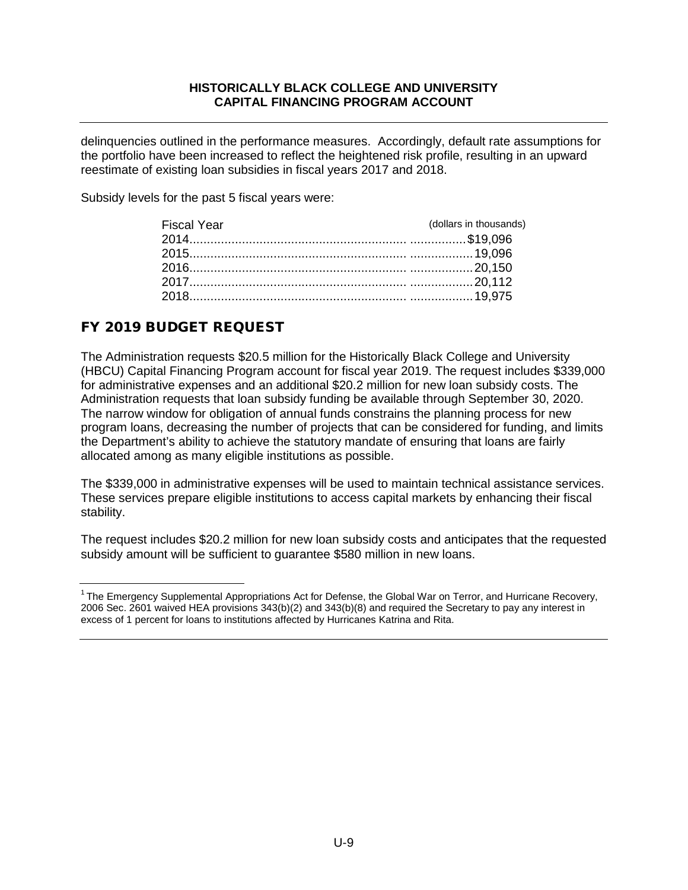delinquencies outlined in the performance measures. Accordingly, default rate assumptions for the portfolio have been increased to reflect the heightened risk profile, resulting in an upward reestimate of existing loan subsidies in fiscal years 2017 and 2018.

Subsidy levels for the past 5 fiscal years were:

| <b>Fiscal Year</b> | (dollars in thousands) |
|--------------------|------------------------|
|                    |                        |
|                    |                        |
|                    |                        |
|                    |                        |
|                    |                        |
|                    |                        |

## FY 2019 BUDGET REQUEST

The Administration requests \$20.5 million for the Historically Black College and University (HBCU) Capital Financing Program account for fiscal year 2019. The request includes \$339,000 for administrative expenses and an additional \$20.2 million for new loan subsidy costs. The Administration requests that loan subsidy funding be available through September 30, 2020. The narrow window for obligation of annual funds constrains the planning process for new program loans, decreasing the number of projects that can be considered for funding, and limits the Department's ability to achieve the statutory mandate of ensuring that loans are fairly allocated among as many eligible institutions as possible.

The \$339,000 in administrative expenses will be used to maintain technical assistance services. These services prepare eligible institutions to access capital markets by enhancing their fiscal stability.

The request includes \$20.2 million for new loan subsidy costs and anticipates that the requested subsidy amount will be sufficient to guarantee \$580 million in new loans.

<span id="page-9-0"></span><sup>&</sup>lt;sup>1</sup> The Emergency Supplemental Appropriations Act for Defense, the Global War on Terror, and Hurricane Recovery, 2006 Sec. 2601 waived HEA provisions 343(b)(2) and 343(b)(8) and required the Secretary to pay any interest in excess of 1 percent for loans to institutions affected by Hurricanes Katrina and Rita.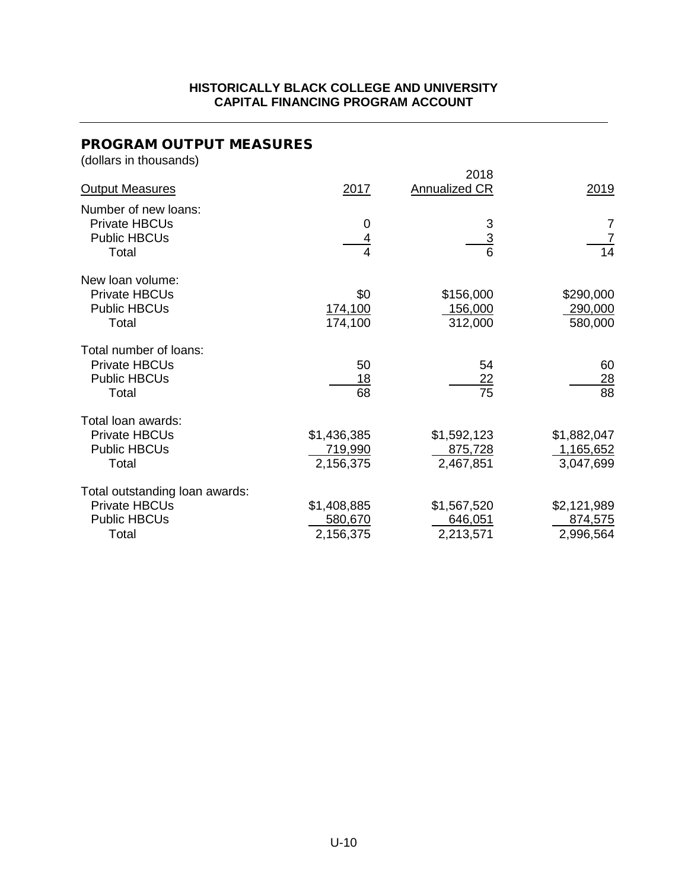# PROGRAM OUTPUT MEASURES

(dollars in thousands)

| <b>Output Measures</b>                                                                 | 2017                                | 2018<br><b>Annualized CR</b>        | 2019                                  |
|----------------------------------------------------------------------------------------|-------------------------------------|-------------------------------------|---------------------------------------|
| Number of new loans:<br><b>Private HBCUs</b><br><b>Public HBCUs</b><br>Total           | 0<br>4                              | 3<br>3<br>6                         | 7<br>14                               |
| New loan volume:<br>Private HBCUs<br><b>Public HBCUs</b><br>Total                      | \$0<br>174,100<br>174,100           | \$156,000<br>156,000<br>312,000     | \$290,000<br>290,000<br>580,000       |
| Total number of loans:<br><b>Private HBCUs</b><br><b>Public HBCUs</b><br>Total         | 50<br>18<br>68                      | 54<br><u>22</u><br>75               | 60<br><u>28</u><br>88                 |
| Total loan awards:<br><b>Private HBCUs</b><br><b>Public HBCUs</b><br>Total             | \$1,436,385<br>719,990<br>2,156,375 | \$1,592,123<br>875,728<br>2,467,851 | \$1,882,047<br>1,165,652<br>3,047,699 |
| Total outstanding loan awards:<br><b>Private HBCUs</b><br><b>Public HBCUs</b><br>Total | \$1,408,885<br>580,670<br>2,156,375 | \$1,567,520<br>646,051<br>2,213,571 | \$2,121,989<br>874,575<br>2,996,564   |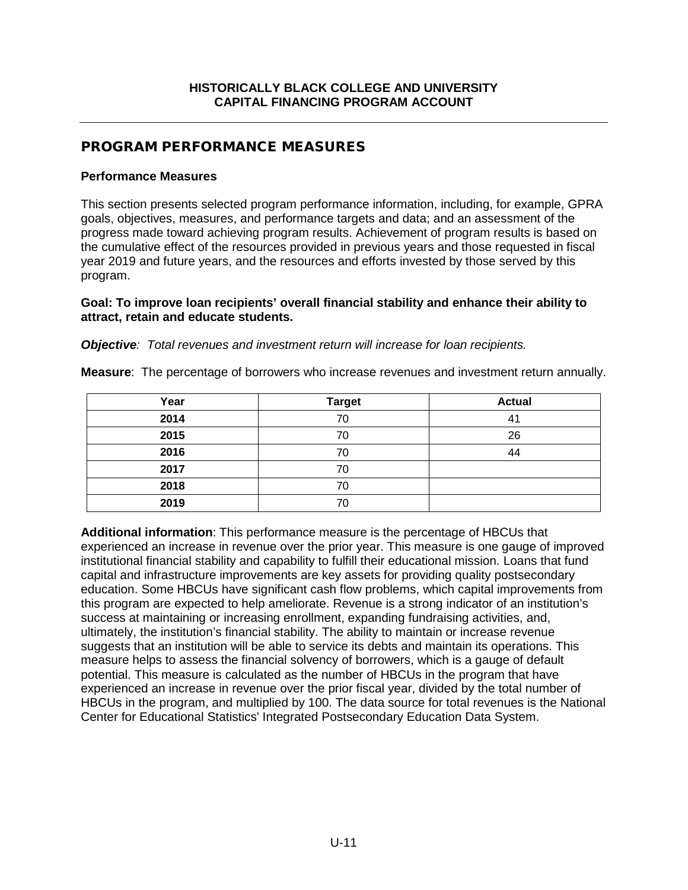## PROGRAM PERFORMANCE MEASURES

#### **Performance Measures**

This section presents selected program performance information, including, for example, GPRA goals, objectives, measures, and performance targets and data; and an assessment of the progress made toward achieving program results. Achievement of program results is based on the cumulative effect of the resources provided in previous years and those requested in fiscal year 2019 and future years, and the resources and efforts invested by those served by this program.

#### **Goal: To improve loan recipients' overall financial stability and enhance their ability to attract, retain and educate students.**

*Objective: Total revenues and investment return will increase for loan recipients.*

| Year | <b>Target</b> | <b>Actual</b> |
|------|---------------|---------------|
| 2014 | 70            | 41            |
| 2015 | 70            | 26            |
| 2016 | 70            | 44            |
| 2017 | 70            |               |
| 2018 | 70            |               |
| 2019 | 70            |               |

**Measure**: The percentage of borrowers who increase revenues and investment return annually.

**Additional information**: This performance measure is the percentage of HBCUs that experienced an increase in revenue over the prior year. This measure is one gauge of improved institutional financial stability and capability to fulfill their educational mission. Loans that fund capital and infrastructure improvements are key assets for providing quality postsecondary education. Some HBCUs have significant cash flow problems, which capital improvements from this program are expected to help ameliorate. Revenue is a strong indicator of an institution's success at maintaining or increasing enrollment, expanding fundraising activities, and, ultimately, the institution's financial stability. The ability to maintain or increase revenue suggests that an institution will be able to service its debts and maintain its operations. This measure helps to assess the financial solvency of borrowers, which is a gauge of default potential. This measure is calculated as the number of HBCUs in the program that have experienced an increase in revenue over the prior fiscal year, divided by the total number of HBCUs in the program, and multiplied by 100. The data source for total revenues is the National Center for Educational Statistics' Integrated Postsecondary Education Data System.